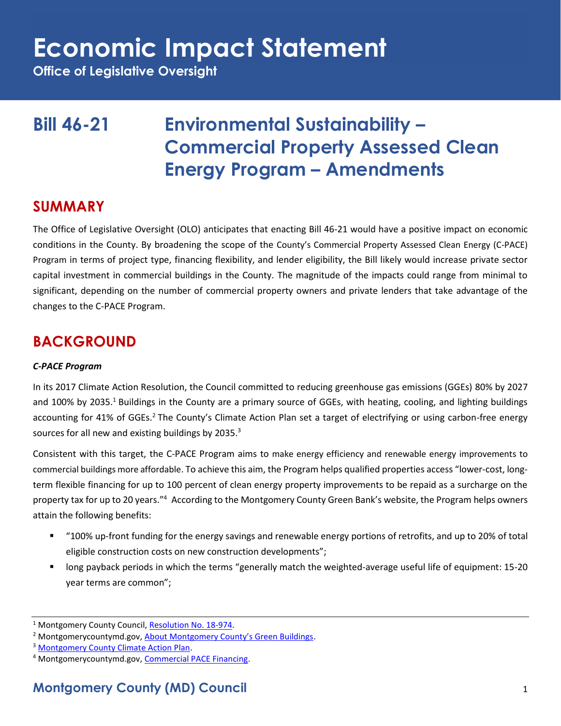**Office of Legislative Oversight**

## **Bill 46-21 Environmental Sustainability – Commercial Property Assessed Clean Energy Program – Amendments**

### **SUMMARY**

The Office of Legislative Oversight (OLO) anticipates that enacting Bill 46-21 would have a positive impact on economic conditions in the County. By broadening the scope of the County's Commercial Property Assessed Clean Energy (C-PACE) Program in terms of project type, financing flexibility, and lender eligibility, the Bill likely would increase private sector capital investment in commercial buildings in the County. The magnitude of the impacts could range from minimal to significant, depending on the number of commercial property owners and private lenders that take advantage of the changes to the C-PACE Program.

## **BACKGROUND**

### *C-PACE Program*

In its 2017 Climate Action Resolution, the Council committed to reducing greenhouse gas emissions (GGEs) 80% by 2027 and 100% by 2035.<sup>1</sup> Buildings in the County are a primary source of GGEs, with heating, cooling, and lighting buildings accounting for 41% of GGEs.<sup>2</sup> The County's Climate Action Plan set a target of electrifying or using carbon-free energy sources for all new and existing buildings by 2035.<sup>3</sup>

Consistent with this target, the C-PACE Program aims to make energy efficiency and renewable energy improvements to commercial buildings more affordable. To achieve this aim, the Program helps qualified properties access "lower-cost, longterm flexible financing for up to 100 percent of clean energy property improvements to be repaid as a surcharge on the property tax for up to 20 years."<sup>4</sup> According to the Montgomery County Green Bank's website, the Program helps owners attain the following benefits:

- "100% up-front funding for the energy savings and renewable energy portions of retrofits, and up to 20% of total eligible construction costs on new construction developments";
- long payback periods in which the terms "generally match the weighted-average useful life of equipment: 15-20 year terms are common";

<sup>&</sup>lt;sup>1</sup> Montgomery County Council, [Resolution No. 18-974.](https://www.montgomerycountymd.gov/green/Resources/Files/climate/Montgomery-County-Climate-Action-Resolution.pdf)

<sup>&</sup>lt;sup>2</sup> Montgomerycountymd.gov, [About Montgomery County's Green Buildings](https://www.montgomerycountymd.gov/dgs-oes/GreenBuildings.html).

<sup>&</sup>lt;sup>3</sup> [Montgomery County Climate Action Plan.](https://www.montgomerycountymd.gov/green/Resources/Files/climate/climate-action-plan.pdf)

<sup>&</sup>lt;sup>4</sup> Montgomerycountymd.gov, [Commercial PACE Financing.](https://www.montgomerycountymd.gov/green/energy/pace.html)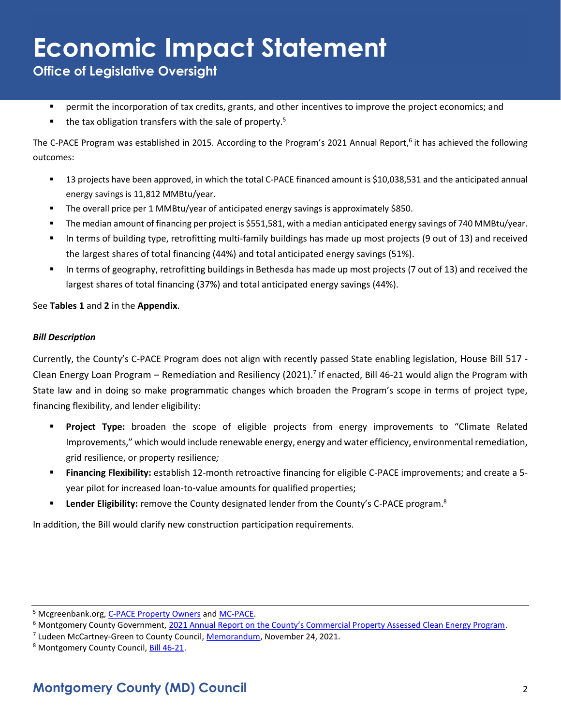**Office of Legislative Oversight**

- **•** permit the incorporation of tax credits, grants, and other incentives to improve the project economics; and
- the tax obligation transfers with the sale of property.<sup>5</sup>

The C-PACE Program was established in 2015. According to the Program's 2021 Annual Report,<sup>6</sup> it has achieved the following outcomes:

- 13 projects have been approved, in which the total C-PACE financed amount is \$10,038,531 and the anticipated annual energy savings is 11,812 MMBtu/year.
- The overall price per 1 MMBtu/year of anticipated energy savings is approximately \$850.
- The median amount of financing per project is \$551,581, with a median anticipated energy savings of 740 MMBtu/year.
- In terms of building type, retrofitting multi-family buildings has made up most projects (9 out of 13) and received the largest shares of total financing (44%) and total anticipated energy savings (51%).
- In terms of geography, retrofitting buildings in Bethesda has made up most projects (7 out of 13) and received the largest shares of total financing (37%) and total anticipated energy savings (44%).

See **Tables 1** and **2** in the **Appendix**.

### *Bill Description*

Currently, the County's C-PACE Program does not align with recently passed State enabling legislation, House Bill 517 - Clean Energy Loan Program – Remediation and Resiliency (2021).<sup>7</sup> If enacted, Bill 46-21 would align the Program with State law and in doing so make programmatic changes which broaden the Program's scope in terms of project type, financing flexibility, and lender eligibility:

- **Project Type:** broaden the scope of eligible projects from energy improvements to "Climate Related Improvements," which would include renewable energy, energy and water efficiency, environmental remediation, grid resilience, or property resilience*;*
- **Financing Flexibility:** establish 12-month retroactive financing for eligible C-PACE improvements; and create a 5 year pilot for increased loan-to-value amounts for qualified properties;
- **E** Lender Eligibility: remove the County designated lender from the County's C-PACE program.<sup>8</sup>

In addition, the Bill would clarify new construction participation requirements.

<sup>5</sup> Mcgreenbank.org, [C-PACE Property Owners](https://mcgreenbank.org/c-pace-property-owners/) and [MC-PACE.](https://mcgreenbank.org/mc-pace/) 

<sup>&</sup>lt;sup>6</sup> Montgomery County Government, [2021 Annual Report on the County's Commercial Property Assessed Clean Energy Program](https://montgomerycountymd.gov/green/Resources/Files/energy/cpace-annual-report-2021.pdf).

<sup>&</sup>lt;sup>7</sup> Ludeen McCartney-Green to County Council, **Memorandum**, November 24, 2021.

<sup>8</sup> Montgomery County Council, [Bill 46-21.](https://apps.montgomerycountymd.gov/ccllims/DownloadFilePage?FileName=2737_1_17848_Bill_46-2021_Introduction_20211130.pdf)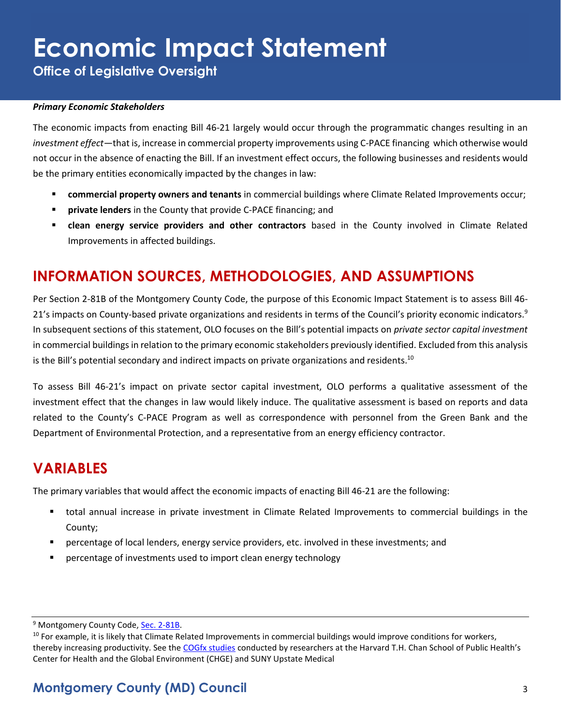**Office of Legislative Oversight**

#### *Primary Economic Stakeholders*

The economic impacts from enacting Bill 46-21 largely would occur through the programmatic changes resulting in an *investment effect*—that is, increase in commercial property improvements using C-PACE financing which otherwise would not occur in the absence of enacting the Bill. If an investment effect occurs, the following businesses and residents would be the primary entities economically impacted by the changes in law:

- **commercial property owners and tenants** in commercial buildings where Climate Related Improvements occur;
- **E** private lenders in the County that provide C-PACE financing; and
- **clean energy service providers and other contractors** based in the County involved in Climate Related Improvements in affected buildings.

## **INFORMATION SOURCES, METHODOLOGIES, AND ASSUMPTIONS**

Per Section 2-81B of the Montgomery County Code, the purpose of this Economic Impact Statement is to assess Bill 46- 21's impacts on County-based private organizations and residents in terms of the Council's priority economic indicators.<sup>9</sup> In subsequent sections of this statement, OLO focuses on the Bill's potential impacts on *private sector capital investment* in commercial buildings in relation to the primary economic stakeholders previously identified. Excluded from this analysis is the Bill's potential secondary and indirect impacts on private organizations and residents.<sup>10</sup>

To assess Bill 46-21's impact on private sector capital investment, OLO performs a qualitative assessment of the investment effect that the changes in law would likely induce. The qualitative assessment is based on reports and data related to the County's C-PACE Program as well as correspondence with personnel from the Green Bank and the Department of Environmental Protection, and a representative from an energy efficiency contractor.

### **VARIABLES**

The primary variables that would affect the economic impacts of enacting Bill 46-21 are the following:

- total annual increase in private investment in Climate Related Improvements to commercial buildings in the County;
- percentage of local lenders, energy service providers, etc. involved in these investments; and
- percentage of investments used to import clean energy technology

<sup>&</sup>lt;sup>9</sup> Montgomery County Code, Sec. 2-81B.

<sup>&</sup>lt;sup>10</sup> For example, it is likely that Climate Related Improvements in commercial buildings would improve conditions for workers, thereby increasing productivity. See the [COGfx studies](https://thecogfxstudy.com/) conducted by researchers at the Harvard T.H. Chan School of Public Health's Center for Health and the Global Environment (CHGE) and SUNY Upstate Medical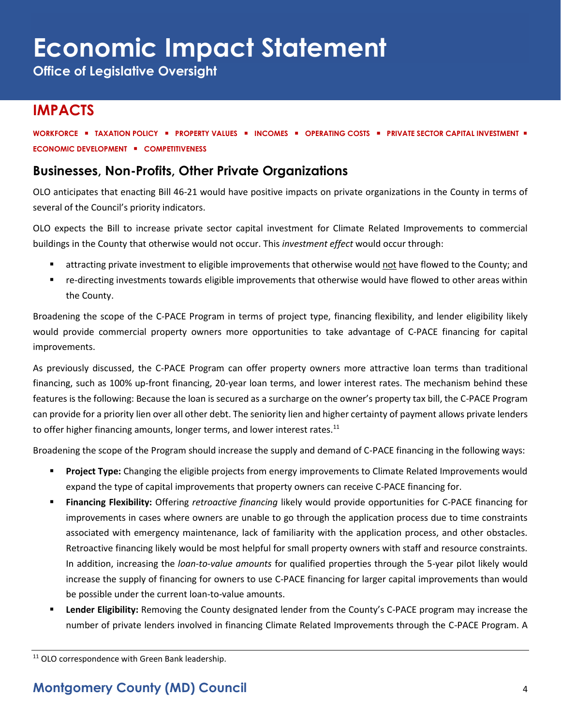**Office of Legislative Oversight**

## **IMPACTS**

**WORKFORCE** ▪ **TAXATION POLICY** ▪ **PROPERTY VALUES** ▪ **INCOMES** ▪ **OPERATING COSTS** ▪ **PRIVATE SECTOR CAPITAL INVESTMENT** ▪ **ECONOMIC DEVELOPMENT** ▪ **COMPETITIVENESS**

### **Businesses, Non-Profits, Other Private Organizations**

OLO anticipates that enacting Bill 46-21 would have positive impacts on private organizations in the County in terms of several of the Council's priority indicators.

OLO expects the Bill to increase private sector capital investment for Climate Related Improvements to commercial buildings in the County that otherwise would not occur. This *investment effect* would occur through:

- attracting private investment to eligible improvements that otherwise would not have flowed to the County; and
- re-directing investments towards eligible improvements that otherwise would have flowed to other areas within the County.

Broadening the scope of the C-PACE Program in terms of project type, financing flexibility, and lender eligibility likely would provide commercial property owners more opportunities to take advantage of C-PACE financing for capital improvements.

As previously discussed, the C-PACE Program can offer property owners more attractive loan terms than traditional financing, such as 100% up-front financing, 20-year loan terms, and lower interest rates. The mechanism behind these features is the following: Because the loan is secured as a surcharge on the owner's property tax bill, the C-PACE Program can provide for a priority lien over all other debt. The seniority lien and higher certainty of payment allows private lenders to offer higher financing amounts, longer terms, and lower interest rates.<sup>11</sup>

Broadening the scope of the Program should increase the supply and demand of C-PACE financing in the following ways:

- **Project Type:** Changing the eligible projects from energy improvements to Climate Related Improvements would expand the type of capital improvements that property owners can receive C-PACE financing for.
- **Financing Flexibility:** Offering *retroactive financing* likely would provide opportunities for C-PACE financing for improvements in cases where owners are unable to go through the application process due to time constraints associated with emergency maintenance, lack of familiarity with the application process, and other obstacles. Retroactive financing likely would be most helpful for small property owners with staff and resource constraints. In addition, increasing the *loan-to-value amounts* for qualified properties through the 5-year pilot likely would increase the supply of financing for owners to use C-PACE financing for larger capital improvements than would be possible under the current loan-to-value amounts.
- **Example Fligibility:** Removing the County designated lender from the County's C-PACE program may increase the number of private lenders involved in financing Climate Related Improvements through the C-PACE Program. A

<sup>11</sup> OLO correspondence with Green Bank leadership.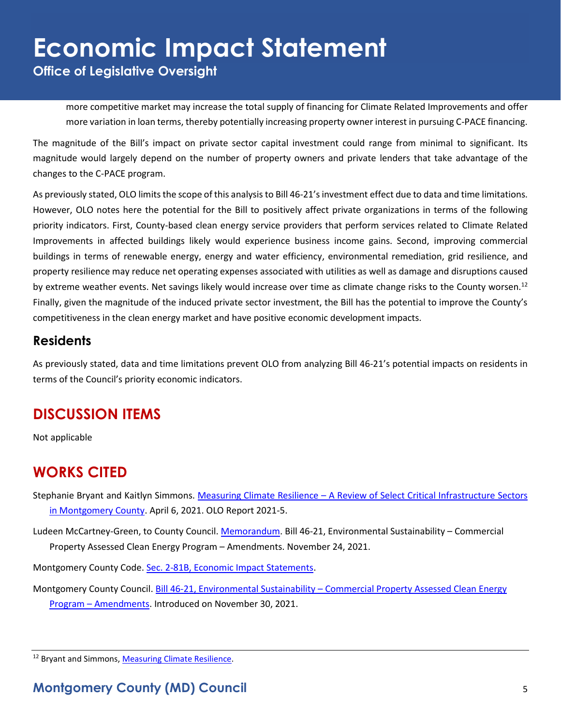**Office of Legislative Oversight**

more competitive market may increase the total supply of financing for Climate Related Improvements and offer more variation in loan terms, thereby potentially increasing property owner interest in pursuing C-PACE financing.

The magnitude of the Bill's impact on private sector capital investment could range from minimal to significant. Its magnitude would largely depend on the number of property owners and private lenders that take advantage of the changes to the C-PACE program.

As previously stated, OLO limits the scope of this analysis to Bill 46-21's investment effect due to data and time limitations. However, OLO notes here the potential for the Bill to positively affect private organizations in terms of the following priority indicators. First, County-based clean energy service providers that perform services related to Climate Related Improvements in affected buildings likely would experience business income gains. Second, improving commercial buildings in terms of renewable energy, energy and water efficiency, environmental remediation, grid resilience, and property resilience may reduce net operating expenses associated with utilities as well as damage and disruptions caused by extreme weather events. Net savings likely would increase over time as climate change risks to the County worsen.<sup>12</sup> Finally, given the magnitude of the induced private sector investment, the Bill has the potential to improve the County's competitiveness in the clean energy market and have positive economic development impacts.

### **Residents**

As previously stated, data and time limitations prevent OLO from analyzing Bill 46-21's potential impacts on residents in terms of the Council's priority economic indicators.

## **DISCUSSION ITEMS**

Not applicable

## **WORKS CITED**

Stephanie Bryant and Kaitlyn Simmons. Measuring Climate Resilience – [A Review of Select Critical Infrastructure Sectors](https://www.montgomerycountymd.gov/OLO/Resources/Files/2021_Reports/OLOReport2021-5.pdf)  [in Montgomery County.](https://www.montgomerycountymd.gov/OLO/Resources/Files/2021_Reports/OLOReport2021-5.pdf) April 6, 2021. OLO Report 2021-5.

Ludeen McCartney-Green, to County Council. [Memorandum.](https://apps.montgomerycountymd.gov/ccllims/DownloadFilePage?FileName=2737_1_17848_Bill_46-2021_Introduction_20211130.pdf) Bill 46-21, Environmental Sustainability – Commercial Property Assessed Clean Energy Program – Amendments. November 24, 2021.

Montgomery County Code. [Sec. 2-81B, Economic Impact Statements.](https://codelibrary.amlegal.com/codes/montgomerycounty/latest/montgomeryco_md/0-0-0-80894)

Montgomery County Council. Bill 46-21, Environmental Sustainability – Commercial Property Assessed Clean Energy Program – [Amendments.](https://apps.montgomerycountymd.gov/ccllims/BillDetailsPage?RecordId=2737&fullTextSearch=46-21) Introduced on November 30, 2021.

<sup>&</sup>lt;sup>12</sup> Bryant and Simmons[, Measuring Climate Resilience.](https://www.montgomerycountymd.gov/OLO/Resources/Files/2021_Reports/OLOReport2021-5.pdf)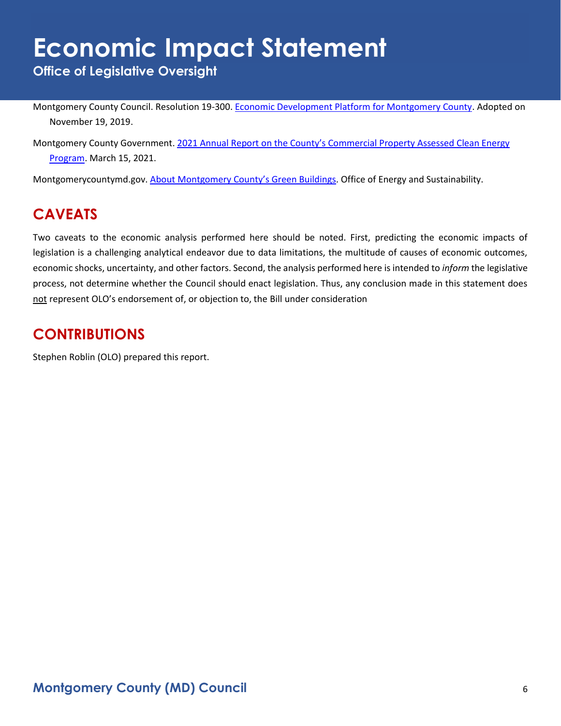**Office of Legislative Oversight**

Montgomery County Council. Resolution 19-300. [Economic Development Platform for Montgomery County.](https://www.montgomerycountymd.gov/COUNCIL/Resources/Files/2019/EDPlatformPlatformFinal.pdf) Adopted on November 19, 2019.

Montgomery County Government. [2021 Annual Report on the County's Commercial Property Assessed Clean Energy](https://montgomerycountymd.gov/green/Resources/Files/energy/cpace-annual-report-2021.pdf)  [Program.](https://montgomerycountymd.gov/green/Resources/Files/energy/cpace-annual-report-2021.pdf) March 15, 2021.

Montgomerycountymd.gov. [About Montgomery County's Green Buildings](https://www.montgomerycountymd.gov/dgs-oes/GreenBuildings.html). Office of Energy and Sustainability.

## **CAVEATS**

Two caveats to the economic analysis performed here should be noted. First, predicting the economic impacts of legislation is a challenging analytical endeavor due to data limitations, the multitude of causes of economic outcomes, economic shocks, uncertainty, and other factors. Second, the analysis performed here is intended to *inform* the legislative process, not determine whether the Council should enact legislation. Thus, any conclusion made in this statement does not represent OLO's endorsement of, or objection to, the Bill under consideration

## **CONTRIBUTIONS**

Stephen Roblin (OLO) prepared this report.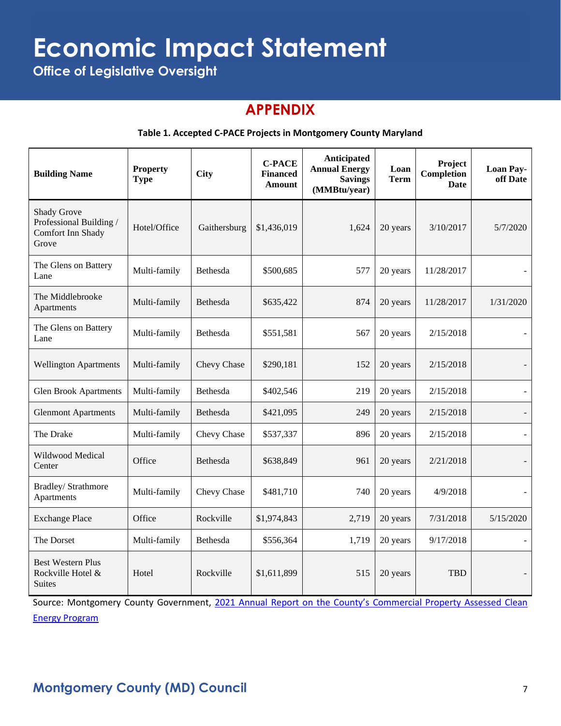**Office of Legislative Oversight**

## **APPENDIX**

### **Table 1. Accepted C-PACE Projects in Montgomery County Maryland**

| <b>Building Name</b>                                                        | <b>Property</b><br><b>Type</b> | <b>City</b>  | <b>C-PACE</b><br><b>Financed</b><br><b>Amount</b> | Anticipated<br><b>Annual Energy</b><br><b>Savings</b><br>(MMBtu/year) | Loan<br><b>Term</b> | Project<br>Completion<br><b>Date</b> | <b>Loan Pay-</b><br>off Date |
|-----------------------------------------------------------------------------|--------------------------------|--------------|---------------------------------------------------|-----------------------------------------------------------------------|---------------------|--------------------------------------|------------------------------|
| <b>Shady Grove</b><br>Professional Building /<br>Comfort Inn Shady<br>Grove | Hotel/Office                   | Gaithersburg | \$1,436,019                                       | 1,624                                                                 | 20 years            | 3/10/2017                            | 5/7/2020                     |
| The Glens on Battery<br>Lane                                                | Multi-family                   | Bethesda     | \$500,685                                         | 577                                                                   | 20 years            | 11/28/2017                           |                              |
| The Middlebrooke<br>Apartments                                              | Multi-family                   | Bethesda     | \$635,422                                         | 874                                                                   | 20 years            | 11/28/2017                           | 1/31/2020                    |
| The Glens on Battery<br>Lane                                                | Multi-family                   | Bethesda     | \$551,581                                         | 567                                                                   | 20 years            | 2/15/2018                            |                              |
| <b>Wellington Apartments</b>                                                | Multi-family                   | Chevy Chase  | \$290,181                                         | 152                                                                   | 20 years            | 2/15/2018                            |                              |
| <b>Glen Brook Apartments</b>                                                | Multi-family                   | Bethesda     | \$402,546                                         | 219                                                                   | 20 years            | 2/15/2018                            |                              |
| <b>Glenmont Apartments</b>                                                  | Multi-family                   | Bethesda     | \$421,095                                         | 249                                                                   | 20 years            | 2/15/2018                            |                              |
| The Drake                                                                   | Multi-family                   | Chevy Chase  | \$537,337                                         | 896                                                                   | 20 years            | 2/15/2018                            | $\blacksquare$               |
| Wildwood Medical<br>Center                                                  | Office                         | Bethesda     | \$638,849                                         | 961                                                                   | 20 years            | 2/21/2018                            |                              |
| Bradley/ Strathmore<br>Apartments                                           | Multi-family                   | Chevy Chase  | \$481,710                                         | 740                                                                   | 20 years            | 4/9/2018                             |                              |
| <b>Exchange Place</b>                                                       | Office                         | Rockville    | \$1,974,843                                       | 2,719                                                                 | 20 years            | 7/31/2018                            | 5/15/2020                    |
| The Dorset                                                                  | Multi-family                   | Bethesda     | \$556,364                                         | 1,719                                                                 | 20 years            | 9/17/2018                            |                              |
| <b>Best Western Plus</b><br>Rockville Hotel &<br><b>Suites</b>              | Hotel                          | Rockville    | \$1,611,899                                       | 515                                                                   | 20 years            | <b>TBD</b>                           |                              |

Source: Montgomery County Government, 2021 Annual Report on the County's Commercial Property Assessed Clean [Energy Program](https://montgomerycountymd.gov/green/Resources/Files/energy/cpace-annual-report-2021.pdf)

## **Montgomery County (MD) Council** 7 2